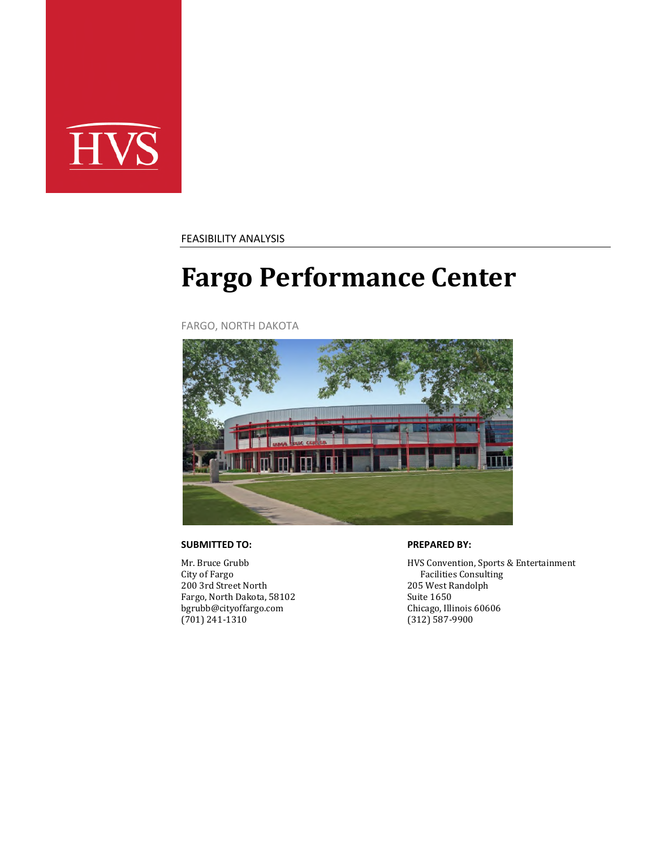

FEASIBILITY ANALYSIS

# **Fargo Performance Center**

FARGO, NORTH DAKOTA



#### **SUBMITTED TO:**

Mr. Bruce Grubb City of Fargo 200 3rd Street North Fargo, North Dakota, 58102 bgrubb@cityoffargo.com (701) 241-1310

#### **PREPARED BY:**

HVS Convention, Sports & Entertainment Facilities Consulting 205 West Randolph Suite 1650 Chicago, Illinois 60606 (312) 587-9900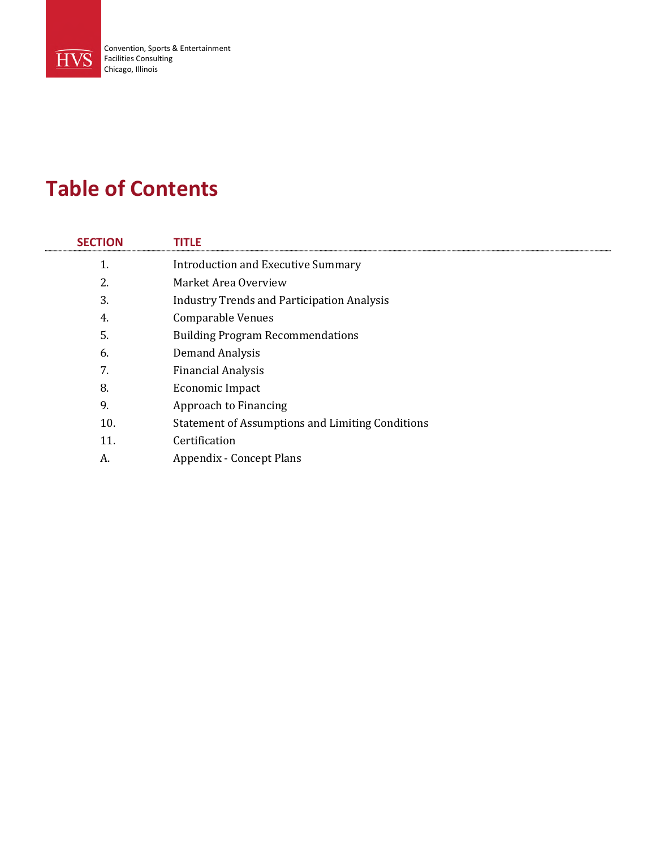

### **Table of Contents**

| <b>SECTION</b> | <b>TITLE</b>                                            |
|----------------|---------------------------------------------------------|
| 1.             | <b>Introduction and Executive Summary</b>               |
| 2.             | Market Area Overview                                    |
| 3.             | <b>Industry Trends and Participation Analysis</b>       |
| 4.             | <b>Comparable Venues</b>                                |
| 5.             | <b>Building Program Recommendations</b>                 |
| 6.             | Demand Analysis                                         |
| 7.             | <b>Financial Analysis</b>                               |
| 8.             | Economic Impact                                         |
| 9.             | Approach to Financing                                   |
| 10.            | <b>Statement of Assumptions and Limiting Conditions</b> |
| 11.            | Certification                                           |
| А.             | <b>Appendix - Concept Plans</b>                         |
|                |                                                         |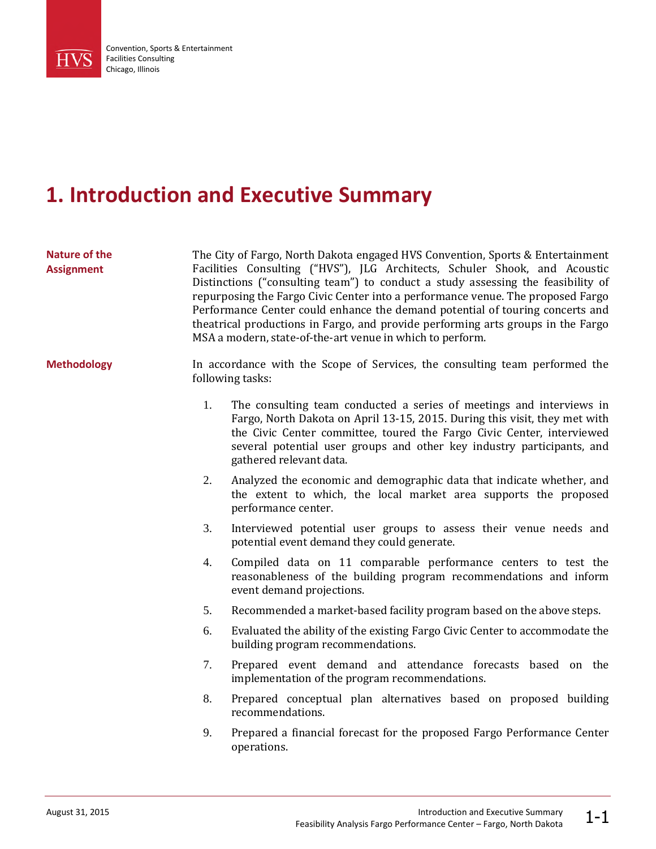

## **1. Introduction and Executive Summary**

| <b>Nature of the</b><br><b>Assignment</b> | The City of Fargo, North Dakota engaged HVS Convention, Sports & Entertainment<br>Facilities Consulting ("HVS"), JLG Architects, Schuler Shook, and Acoustic<br>Distinctions ("consulting team") to conduct a study assessing the feasibility of<br>repurposing the Fargo Civic Center into a performance venue. The proposed Fargo<br>Performance Center could enhance the demand potential of touring concerts and<br>theatrical productions in Fargo, and provide performing arts groups in the Fargo<br>MSA a modern, state-of-the-art venue in which to perform. |                                                                                                                                                                                                                                                                                                                                   |  |  |  |
|-------------------------------------------|-----------------------------------------------------------------------------------------------------------------------------------------------------------------------------------------------------------------------------------------------------------------------------------------------------------------------------------------------------------------------------------------------------------------------------------------------------------------------------------------------------------------------------------------------------------------------|-----------------------------------------------------------------------------------------------------------------------------------------------------------------------------------------------------------------------------------------------------------------------------------------------------------------------------------|--|--|--|
| <b>Methodology</b>                        |                                                                                                                                                                                                                                                                                                                                                                                                                                                                                                                                                                       | In accordance with the Scope of Services, the consulting team performed the<br>following tasks:                                                                                                                                                                                                                                   |  |  |  |
|                                           | 1.                                                                                                                                                                                                                                                                                                                                                                                                                                                                                                                                                                    | The consulting team conducted a series of meetings and interviews in<br>Fargo, North Dakota on April 13-15, 2015. During this visit, they met with<br>the Civic Center committee, toured the Fargo Civic Center, interviewed<br>several potential user groups and other key industry participants, and<br>gathered relevant data. |  |  |  |
|                                           | 2.                                                                                                                                                                                                                                                                                                                                                                                                                                                                                                                                                                    | Analyzed the economic and demographic data that indicate whether, and<br>the extent to which, the local market area supports the proposed<br>performance center.                                                                                                                                                                  |  |  |  |
|                                           | 3.                                                                                                                                                                                                                                                                                                                                                                                                                                                                                                                                                                    | Interviewed potential user groups to assess their venue needs and<br>potential event demand they could generate.                                                                                                                                                                                                                  |  |  |  |
|                                           | 4.                                                                                                                                                                                                                                                                                                                                                                                                                                                                                                                                                                    | Compiled data on 11 comparable performance centers to test the<br>reasonableness of the building program recommendations and inform<br>event demand projections.                                                                                                                                                                  |  |  |  |
|                                           | 5.                                                                                                                                                                                                                                                                                                                                                                                                                                                                                                                                                                    | Recommended a market-based facility program based on the above steps.                                                                                                                                                                                                                                                             |  |  |  |
|                                           | 6.                                                                                                                                                                                                                                                                                                                                                                                                                                                                                                                                                                    | Evaluated the ability of the existing Fargo Civic Center to accommodate the<br>building program recommendations.                                                                                                                                                                                                                  |  |  |  |
|                                           | 7.                                                                                                                                                                                                                                                                                                                                                                                                                                                                                                                                                                    | Prepared event demand and attendance forecasts based on the<br>implementation of the program recommendations.                                                                                                                                                                                                                     |  |  |  |
|                                           | 8.                                                                                                                                                                                                                                                                                                                                                                                                                                                                                                                                                                    | Prepared conceptual plan alternatives based on proposed building<br>recommendations.                                                                                                                                                                                                                                              |  |  |  |
|                                           | 9.                                                                                                                                                                                                                                                                                                                                                                                                                                                                                                                                                                    | Prepared a financial forecast for the proposed Fargo Performance Center<br>operations.                                                                                                                                                                                                                                            |  |  |  |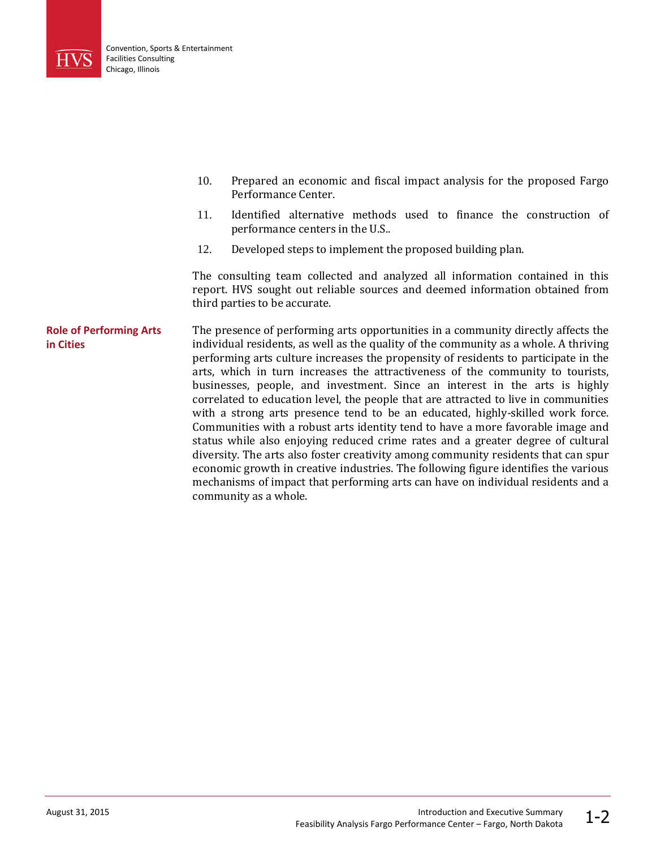

- 10. Prepared an economic and fiscal impact analysis for the proposed Fargo Performance Center.
- 11. Identified alternative methods used to finance the construction of performance centers in the U.S..
- 12. Developed steps to implement the proposed building plan.

The consulting team collected and analyzed all information contained in this report. HVS sought out reliable sources and deemed information obtained from third parties to be accurate.

The presence of performing arts opportunities in a community directly affects the individual residents, as well as the quality of the community as a whole. A thriving performing arts culture increases the propensity of residents to participate in the arts, which in turn increases the attractiveness of the community to tourists, businesses, people, and investment. Since an interest in the arts is highly correlated to education level, the people that are attracted to live in communities with a strong arts presence tend to be an educated, highly-skilled work force. Communities with a robust arts identity tend to have a more favorable image and status while also enjoying reduced crime rates and a greater degree of cultural diversity. The arts also foster creativity among community residents that can spur economic growth in creative industries. The following figure identifies the various mechanisms of impact that performing arts can have on individual residents and a community as a whole. **Role of Performing Arts in Cities**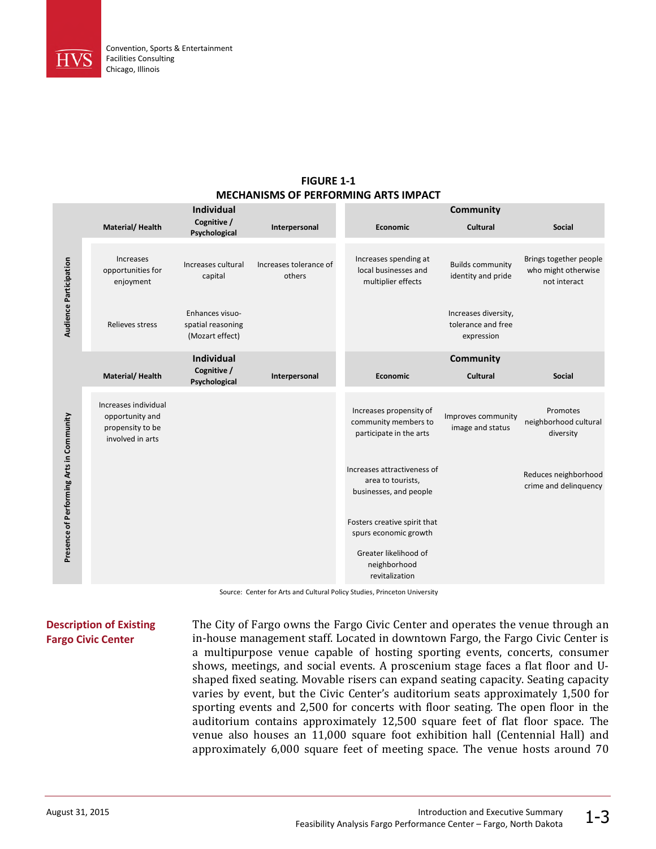

#### **FIGURE 1-1 MECHANISMS OF PERFORMING ARTS IMPACT**

|                                          |                                                                                 | <b>Individual</b>                                       |                                  |                                                                            | Community                                                |                                                               |
|------------------------------------------|---------------------------------------------------------------------------------|---------------------------------------------------------|----------------------------------|----------------------------------------------------------------------------|----------------------------------------------------------|---------------------------------------------------------------|
|                                          | Material/Health                                                                 | Cognitive /<br>Psychological                            | Interpersonal                    | Economic                                                                   | Cultural                                                 | <b>Social</b>                                                 |
| <b>Audience Participation</b>            | <b>Increases</b><br>opportunities for<br>enjoyment                              | Increases cultural<br>capital                           | Increases tolerance of<br>others | Increases spending at<br>local businesses and<br>multiplier effects        | <b>Builds community</b><br>identity and pride            | Brings together people<br>who might otherwise<br>not interact |
|                                          | Relieves stress                                                                 | Enhances visuo-<br>spatial reasoning<br>(Mozart effect) |                                  |                                                                            | Increases diversity,<br>tolerance and free<br>expression |                                                               |
|                                          |                                                                                 | <b>Individual</b>                                       |                                  |                                                                            | <b>Community</b>                                         |                                                               |
|                                          | Material/Health                                                                 | Cognitive /<br>Psychological                            | Interpersonal                    | <b>Economic</b>                                                            | Cultural                                                 | <b>Social</b>                                                 |
|                                          | Increases individual<br>opportunity and<br>propensity to be<br>involved in arts |                                                         |                                  | Increases propensity of<br>community members to<br>participate in the arts | Improves community<br>image and status                   | Promotes<br>neighborhood cultural<br>diversity                |
| Presence of Performing Arts in Community |                                                                                 |                                                         |                                  | Increases attractiveness of<br>area to tourists,<br>businesses, and people |                                                          | Reduces neighborhood<br>crime and delinquency                 |
|                                          |                                                                                 |                                                         |                                  | Fosters creative spirit that<br>spurs economic growth                      |                                                          |                                                               |
|                                          |                                                                                 |                                                         |                                  | Greater likelihood of<br>neighborhood<br>revitalization                    |                                                          |                                                               |

Source: Center for Arts and Cultural Policy Studies, Princeton University

### **Description of Existing Fargo Civic Center**

The City of Fargo owns the Fargo Civic Center and operates the venue through an in-house management staff. Located in downtown Fargo, the Fargo Civic Center is a multipurpose venue capable of hosting sporting events, concerts, consumer shows, meetings, and social events. A proscenium stage faces a flat floor and Ushaped fixed seating. Movable risers can expand seating capacity. Seating capacity varies by event, but the Civic Center's auditorium seats approximately 1,500 for sporting events and 2,500 for concerts with floor seating. The open floor in the auditorium contains approximately 12,500 square feet of flat floor space. The venue also houses an 11,000 square foot exhibition hall (Centennial Hall) and approximately 6,000 square feet of meeting space. The venue hosts around 70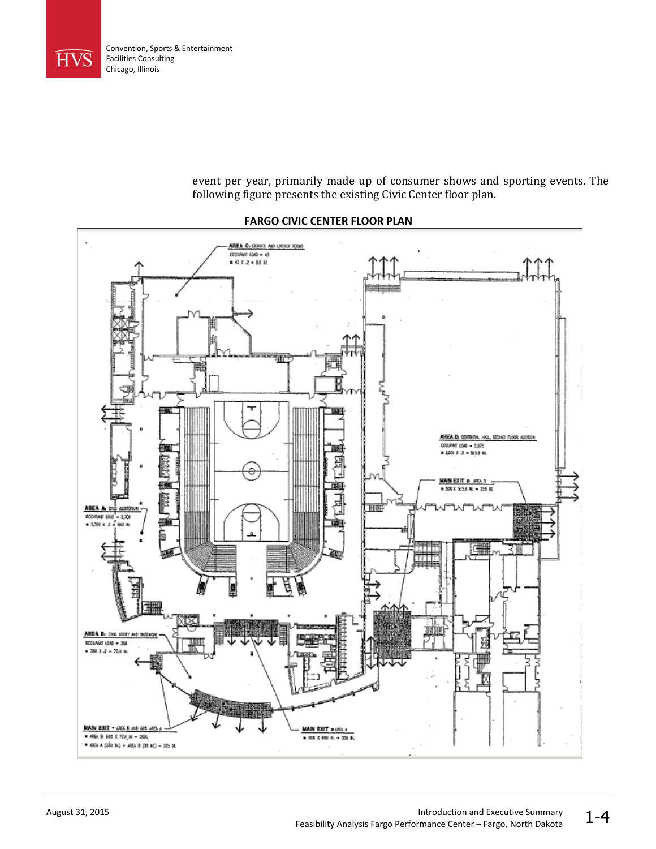

event per year, primarily made up of consumer shows and sporting events. The following figure presents the existing Civic Center floor plan.



#### **FARGO CIVIC CENTER FLOOR PLAN**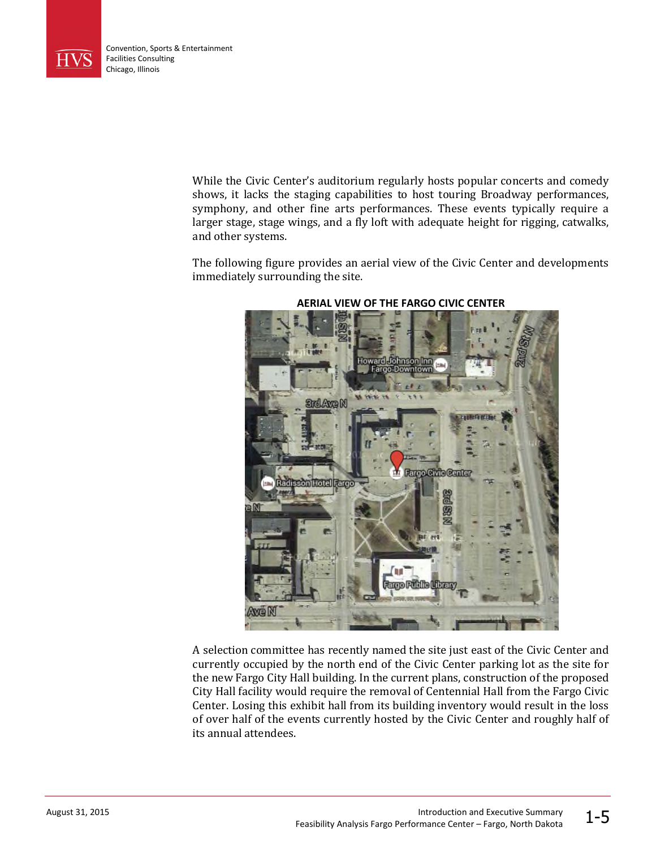

While the Civic Center's auditorium regularly hosts popular concerts and comedy shows, it lacks the staging capabilities to host touring Broadway performances, symphony, and other fine arts performances. These events typically require a larger stage, stage wings, and a fly loft with adequate height for rigging, catwalks, and other systems.

The following figure provides an aerial view of the Civic Center and developments immediately surrounding the site.



#### **AERIAL VIEW OF THE FARGO CIVIC CENTER**

A selection committee has recently named the site just east of the Civic Center and currently occupied by the north end of the Civic Center parking lot as the site for the new Fargo City Hall building. In the current plans, construction of the proposed City Hall facility would require the removal of Centennial Hall from the Fargo Civic Center. Losing this exhibit hall from its building inventory would result in the loss of over half of the events currently hosted by the Civic Center and roughly half of its annual attendees.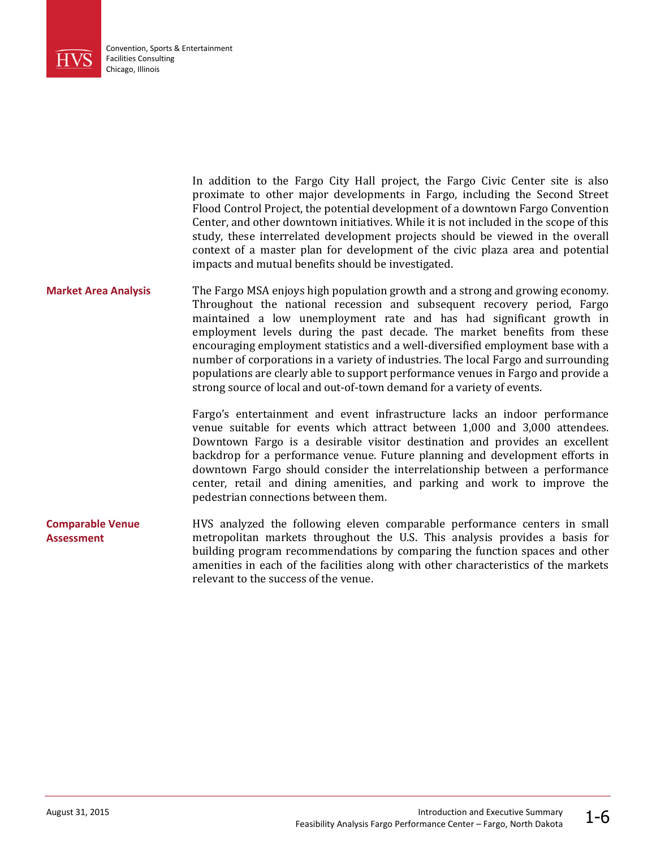

In addition to the Fargo City Hall project, the Fargo Civic Center site is also proximate to other major developments in Fargo, including the Second Street Flood Control Project, the potential development of a downtown Fargo Convention Center, and other downtown initiatives. While it is not included in the scope of this study, these interrelated development projects should be viewed in the overall context of a master plan for development of the civic plaza area and potential impacts and mutual benefits should be investigated.

The Fargo MSA enjoys high population growth and a strong and growing economy. Throughout the national recession and subsequent recovery period, Fargo maintained a low unemployment rate and has had significant growth in employment levels during the past decade. The market benefits from these encouraging employment statistics and a well-diversified employment base with a number of corporations in a variety of industries. The local Fargo and surrounding populations are clearly able to support performance venues in Fargo and provide a strong source of local and out-of-town demand for a variety of events. **Market Area Analysis**

> Fargo's entertainment and event infrastructure lacks an indoor performance venue suitable for events which attract between 1,000 and 3,000 attendees. Downtown Fargo is a desirable visitor destination and provides an excellent backdrop for a performance venue. Future planning and development efforts in downtown Fargo should consider the interrelationship between a performance center, retail and dining amenities, and parking and work to improve the pedestrian connections between them.

HVS analyzed the following eleven comparable performance centers in small metropolitan markets throughout the U.S. This analysis provides a basis for building program recommendations by comparing the function spaces and other amenities in each of the facilities along with other characteristics of the markets relevant to the success of the venue. **Comparable Venue Assessment**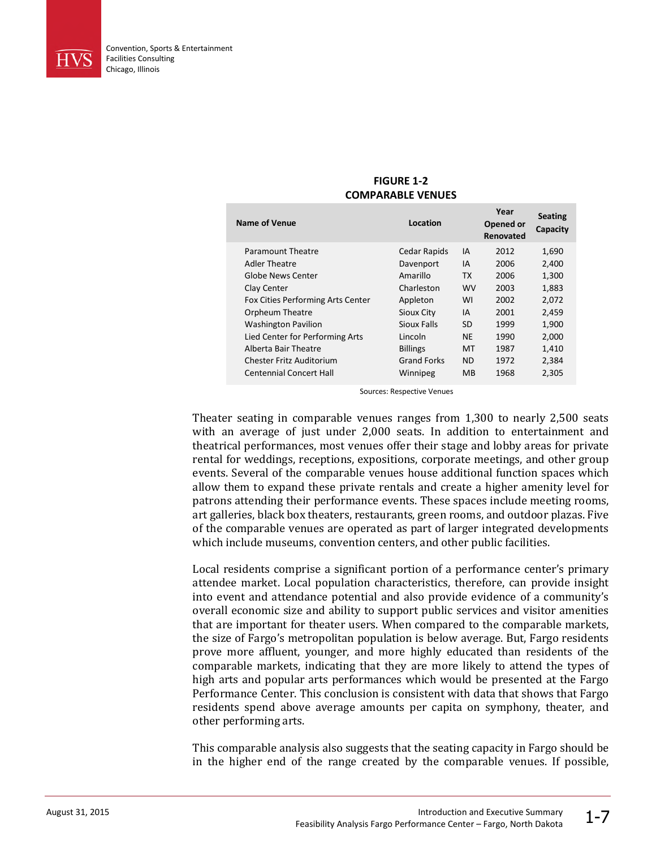

| <b>,,,,,,,,,,,,,,,,,,,,,,</b>     |                    |           |                                |                            |
|-----------------------------------|--------------------|-----------|--------------------------------|----------------------------|
| Name of Venue                     | Location           |           | Year<br>Opened or<br>Renovated | <b>Seating</b><br>Capacity |
| Paramount Theatre                 | Cedar Rapids       | IA        | 2012                           | 1,690                      |
| Adler Theatre                     | Davenport          | IA        | 2006                           | 2,400                      |
| Globe News Center                 | Amarillo           | <b>TX</b> | 2006                           | 1,300                      |
| Clay Center                       | Charleston         | <b>WV</b> | 2003                           | 1,883                      |
| Fox Cities Performing Arts Center | Appleton           | WI        | 2002                           | 2,072                      |
| <b>Orpheum Theatre</b>            | Sioux City         | IA        | 2001                           | 2,459                      |
| <b>Washington Pavilion</b>        | Sioux Falls        | SD        | 1999                           | 1,900                      |
| Lied Center for Performing Arts   | Lincoln            | <b>NE</b> | 1990                           | 2,000                      |
| Alberta Bair Theatre              | <b>Billings</b>    | MT        | 1987                           | 1,410                      |
| Chester Fritz Auditorium          | <b>Grand Forks</b> | <b>ND</b> | 1972                           | 2,384                      |
| <b>Centennial Concert Hall</b>    | Winnipeg           | <b>MB</b> | 1968                           | 2,305                      |

#### **FIGURE 1-2 COMPARABLE VENUES**

Sources: Respective Venues

Theater seating in comparable venues ranges from 1,300 to nearly 2,500 seats with an average of just under 2,000 seats. In addition to entertainment and theatrical performances, most venues offer their stage and lobby areas for private rental for weddings, receptions, expositions, corporate meetings, and other group events. Several of the comparable venues house additional function spaces which allow them to expand these private rentals and create a higher amenity level for patrons attending their performance events. These spaces include meeting rooms, art galleries, black box theaters, restaurants, green rooms, and outdoor plazas. Five of the comparable venues are operated as part of larger integrated developments which include museums, convention centers, and other public facilities.

Local residents comprise a significant portion of a performance center's primary attendee market. Local population characteristics, therefore, can provide insight into event and attendance potential and also provide evidence of a community's overall economic size and ability to support public services and visitor amenities that are important for theater users. When compared to the comparable markets, the size of Fargo's metropolitan population is below average. But, Fargo residents prove more affluent, younger, and more highly educated than residents of the comparable markets, indicating that they are more likely to attend the types of high arts and popular arts performances which would be presented at the Fargo Performance Center. This conclusion is consistent with data that shows that Fargo residents spend above average amounts per capita on symphony, theater, and other performing arts.

This comparable analysis also suggests that the seating capacity in Fargo should be in the higher end of the range created by the comparable venues. If possible,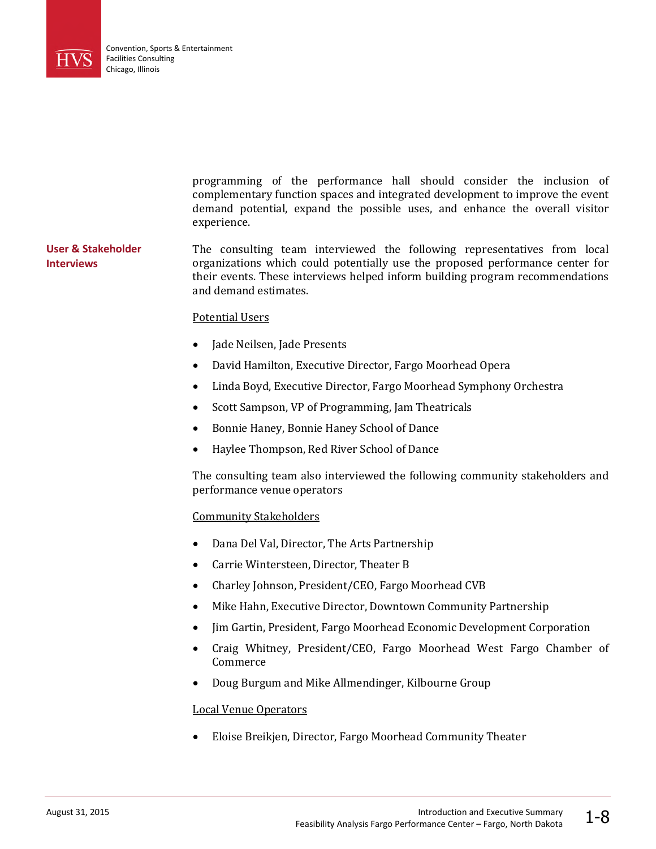

|                                         | programming of the performance hall should consider the inclusion of<br>complementary function spaces and integrated development to improve the event<br>demand potential, expand the possible uses, and enhance the overall visitor<br>experience.                                           |
|-----------------------------------------|-----------------------------------------------------------------------------------------------------------------------------------------------------------------------------------------------------------------------------------------------------------------------------------------------|
| User & Stakeholder<br><b>Interviews</b> | The consulting team interviewed the following representatives from local<br>organizations which could potentially use the proposed performance center for<br>their events. These interviews helped inform building program recommendations<br>and demand estimates.<br><b>Potential Users</b> |
|                                         | Jade Neilsen, Jade Presents<br>$\bullet$<br>David Hamilton, Executive Director, Fargo Moorhead Opera<br>$\bullet$<br>Linda Boyd, Executive Director, Fargo Moorhead Symphony Orchestra<br>$\bullet$                                                                                           |

- Scott Sampson, VP of Programming, Jam Theatricals
- Bonnie Haney, Bonnie Haney School of Dance
- Haylee Thompson, Red River School of Dance

The consulting team also interviewed the following community stakeholders and performance venue operators

#### Community Stakeholders

- Dana Del Val, Director, The Arts Partnership
- Carrie Wintersteen, Director, Theater B
- Charley Johnson, President/CEO, Fargo Moorhead CVB
- Mike Hahn, Executive Director, Downtown Community Partnership
- Jim Gartin, President, Fargo Moorhead Economic Development Corporation
- Craig Whitney, President/CEO, Fargo Moorhead West Fargo Chamber of Commerce
- Doug Burgum and Mike Allmendinger, Kilbourne Group

#### Local Venue Operators

Eloise Breikjen, Director, Fargo Moorhead Community Theater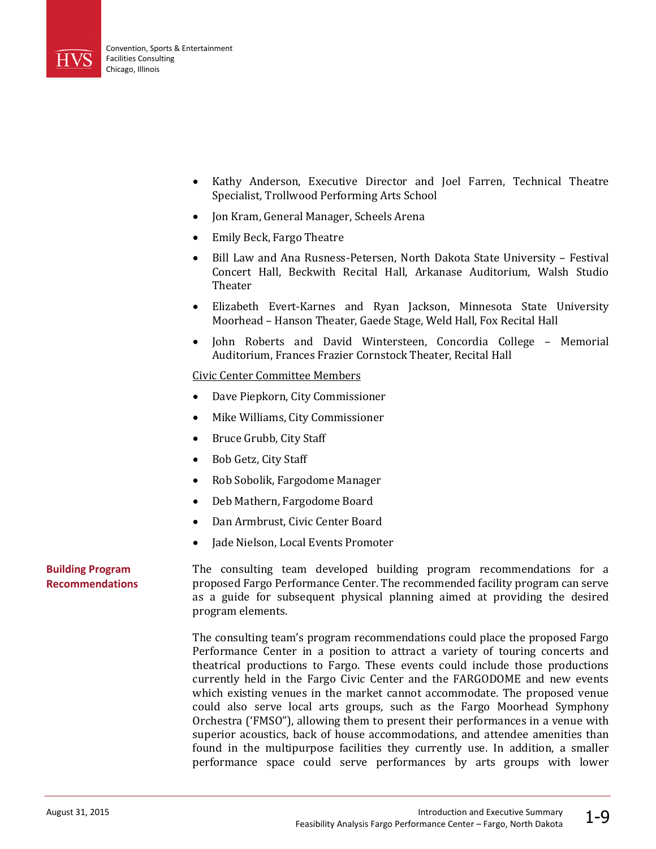

- Kathy Anderson, Executive Director and Joel Farren, Technical Theatre Specialist, Trollwood Performing Arts School
- Jon Kram, General Manager, Scheels Arena
- Emily Beck, Fargo Theatre
- Bill Law and Ana Rusness-Petersen, North Dakota State University Festival Concert Hall, Beckwith Recital Hall, Arkanase Auditorium, Walsh Studio **Theater**
- Elizabeth Evert-Karnes and Ryan Jackson, Minnesota State University Moorhead – Hanson Theater, Gaede Stage, Weld Hall, Fox Recital Hall
- John Roberts and David Wintersteen, Concordia College Memorial Auditorium, Frances Frazier Cornstock Theater, Recital Hall

#### Civic Center Committee Members

- Dave Piepkorn, City Commissioner
- Mike Williams, City Commissioner
- Bruce Grubb, City Staff
- Bob Getz, City Staff
- Rob Sobolik, Fargodome Manager
- Deb Mathern, Fargodome Board
- Dan Armbrust, Civic Center Board
- Jade Nielson, Local Events Promoter

#### **Building Program Recommendations**

The consulting team developed building program recommendations for a proposed Fargo Performance Center. The recommended facility program can serve as a guide for subsequent physical planning aimed at providing the desired program elements.

The consulting team's program recommendations could place the proposed Fargo Performance Center in a position to attract a variety of touring concerts and theatrical productions to Fargo. These events could include those productions currently held in the Fargo Civic Center and the FARGODOME and new events which existing venues in the market cannot accommodate. The proposed venue could also serve local arts groups, such as the Fargo Moorhead Symphony Orchestra ('FMSO"), allowing them to present their performances in a venue with superior acoustics, back of house accommodations, and attendee amenities than found in the multipurpose facilities they currently use. In addition, a smaller performance space could serve performances by arts groups with lower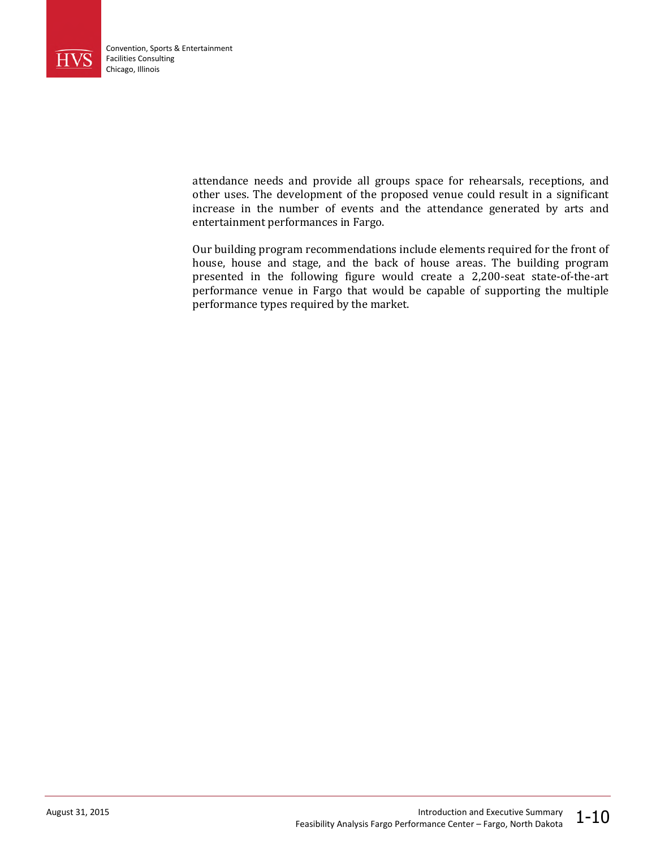

attendance needs and provide all groups space for rehearsals, receptions, and other uses. The development of the proposed venue could result in a significant increase in the number of events and the attendance generated by arts and entertainment performances in Fargo.

Our building program recommendations include elements required for the front of house, house and stage, and the back of house areas. The building program presented in the following figure would create a 2,200-seat state-of-the-art performance venue in Fargo that would be capable of supporting the multiple performance types required by the market.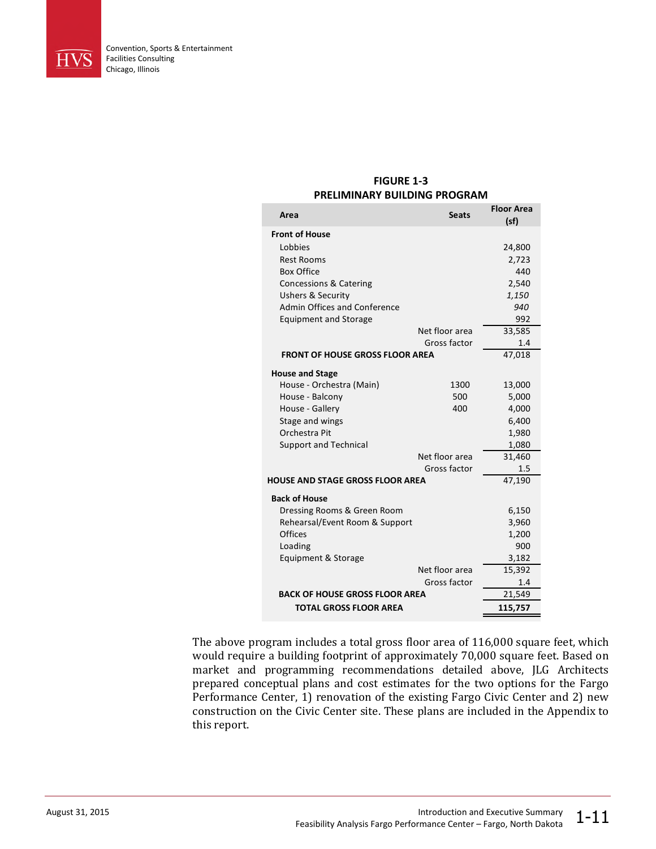

#### **FIGURE 1-3 PRELIMINARY BUILDING PROGRAM**

| Area                                    | <b>Seats</b>   | <b>Floor Area</b><br>(sf) |
|-----------------------------------------|----------------|---------------------------|
| <b>Front of House</b>                   |                |                           |
| Lobbies                                 |                | 24,800                    |
| <b>Rest Rooms</b>                       |                | 2,723                     |
| <b>Box Office</b>                       |                | 440                       |
| Concessions & Catering                  |                | 2,540                     |
| <b>Ushers &amp; Security</b>            |                | 1,150                     |
| Admin Offices and Conference            |                | 940                       |
| <b>Equipment and Storage</b>            |                | 992                       |
|                                         | Net floor area | 33,585                    |
|                                         | Gross factor   | 1.4                       |
| <b>FRONT OF HOUSE GROSS FLOOR AREA</b>  |                | 47,018                    |
| <b>House and Stage</b>                  |                |                           |
| House - Orchestra (Main)                | 1300           | 13,000                    |
| House - Balcony                         | 500            | 5,000                     |
| House - Gallery                         | 400            | 4,000                     |
| Stage and wings                         |                | 6,400                     |
| Orchestra Pit                           |                | 1,980                     |
| <b>Support and Technical</b>            |                | 1,080                     |
|                                         | Net floor area | 31,460                    |
|                                         | Gross factor   | 1.5                       |
| <b>HOUSE AND STAGE GROSS FLOOR AREA</b> |                | 47,190                    |
| <b>Back of House</b>                    |                |                           |
| Dressing Rooms & Green Room             |                | 6,150                     |
| Rehearsal/Event Room & Support          |                | 3,960                     |
| Offices                                 |                | 1,200                     |
| Loading                                 |                | 900                       |
| Equipment & Storage                     |                | 3,182                     |
|                                         | Net floor area | 15,392                    |
|                                         | Gross factor   | 1.4                       |
| <b>BACK OF HOUSE GROSS FLOOR AREA</b>   | 21,549         |                           |
| <b>TOTAL GROSS FLOOR AREA</b>           | 115,757        |                           |

The above program includes a total gross floor area of 116,000 square feet, which would require a building footprint of approximately 70,000 square feet. Based on market and programming recommendations detailed above, JLG Architects prepared conceptual plans and cost estimates for the two options for the Fargo Performance Center, 1) renovation of the existing Fargo Civic Center and 2) new construction on the Civic Center site. These plans are included in the Appendix to this report.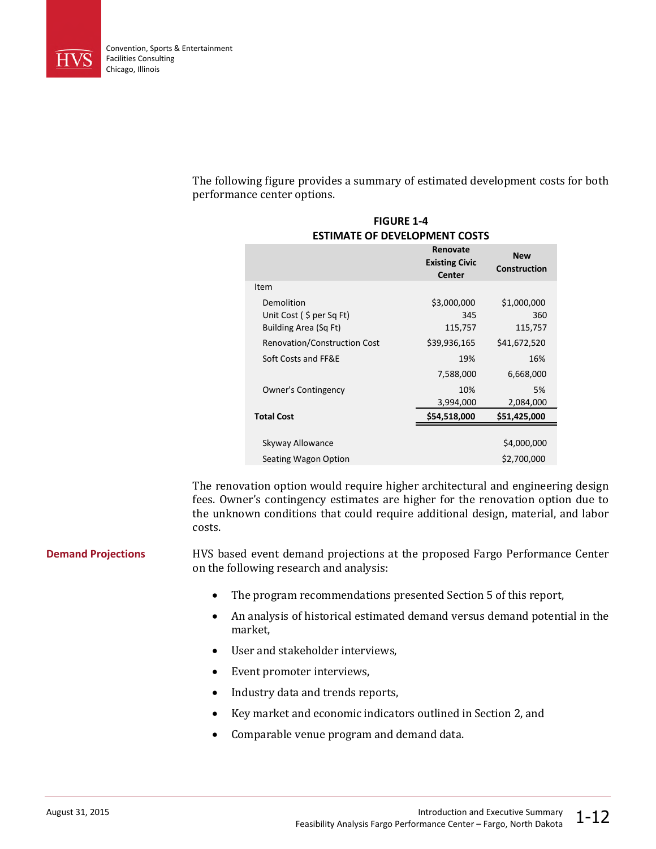

The following figure provides a summary of estimated development costs for both performance center options.

**FIGURE 1-4**

| FIUUNL 1-4<br><b>ESTIMATE OF DEVELOPMENT COSTS</b>                 |                                             |                                   |  |  |
|--------------------------------------------------------------------|---------------------------------------------|-----------------------------------|--|--|
|                                                                    | Renovate<br><b>Existing Civic</b><br>Center | <b>New</b><br><b>Construction</b> |  |  |
| Item                                                               |                                             |                                   |  |  |
| Demolition<br>Unit Cost $($ \$ per Sq Ft)<br>Building Area (Sq Ft) | \$3,000,000<br>345<br>115,757               | \$1,000,000<br>360<br>115,757     |  |  |
| <b>Renovation/Construction Cost</b>                                | \$39,936,165                                | \$41,672,520                      |  |  |
| Soft Costs and FF&E                                                | 19%                                         | 16%                               |  |  |
|                                                                    | 7,588,000                                   | 6,668,000                         |  |  |
| Owner's Contingency                                                | 10%<br>3,994,000                            | 5%<br>2,084,000                   |  |  |
| <b>Total Cost</b>                                                  | \$54,518,000                                | \$51,425,000                      |  |  |
|                                                                    |                                             |                                   |  |  |
| Skyway Allowance                                                   |                                             | \$4,000,000                       |  |  |
| Seating Wagon Option                                               |                                             | \$2,700,000                       |  |  |

The renovation option would require higher architectural and engineering design fees. Owner's contingency estimates are higher for the renovation option due to the unknown conditions that could require additional design, material, and labor costs.

HVS based event demand projections at the proposed Fargo Performance Center on the following research and analysis: **Demand Projections**

- The program recommendations presented Section 5 of this report,
- An analysis of historical estimated demand versus demand potential in the market,
- User and stakeholder interviews,
- Event promoter interviews,
- Industry data and trends reports,
- Key market and economic indicators outlined in Section 2, and
- Comparable venue program and demand data.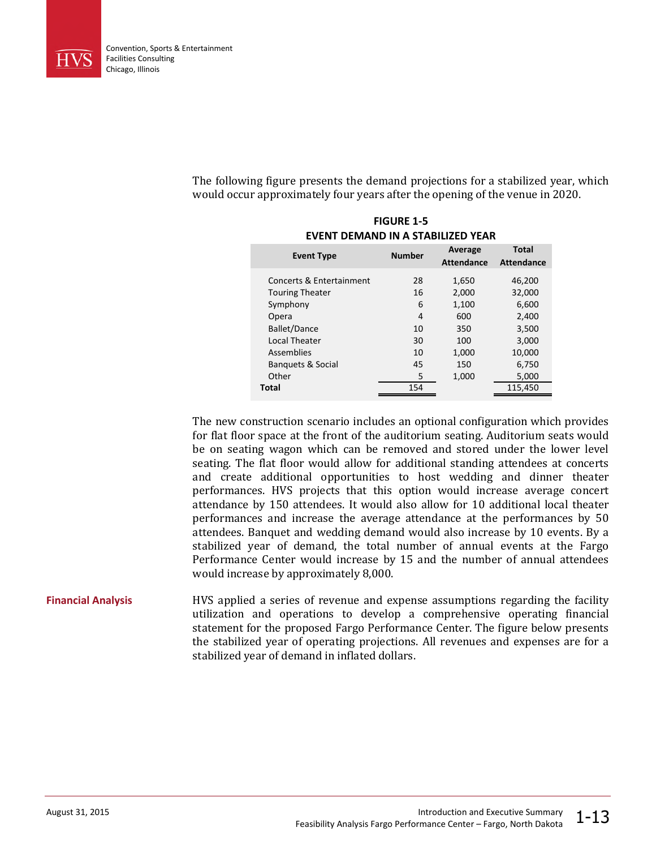

The following figure presents the demand projections for a stabilized year, which would occur approximately four years after the opening of the venue in 2020.

**FIGURE 1-5**

| FIGURE 1-5<br>EVENT DEMAND IN A STABILIZED YEAR |               |                              |                                   |  |
|-------------------------------------------------|---------------|------------------------------|-----------------------------------|--|
| <b>Event Type</b>                               | <b>Number</b> | Average<br><b>Attendance</b> | <b>Total</b><br><b>Attendance</b> |  |
| Concerts & Entertainment                        | 28            | 1,650                        | 46,200                            |  |
| <b>Touring Theater</b>                          | 16            | 2,000                        | 32,000                            |  |
| Symphony                                        | 6             | 1,100                        | 6,600                             |  |
| Opera                                           | 4             | 600                          | 2,400                             |  |
| <b>Ballet/Dance</b>                             | 10            | 350                          | 3,500                             |  |
| <b>Local Theater</b>                            | 30            | 100                          | 3,000                             |  |
| Assemblies                                      | 10            | 1,000                        | 10,000                            |  |
| <b>Banquets &amp; Social</b>                    | 45            | 150                          | 6,750                             |  |
| Other                                           | 5             | 1,000                        | 5,000                             |  |
| <b>Total</b>                                    | 154           |                              | 115,450                           |  |

The new construction scenario includes an optional configuration which provides for flat floor space at the front of the auditorium seating. Auditorium seats would be on seating wagon which can be removed and stored under the lower level seating. The flat floor would allow for additional standing attendees at concerts and create additional opportunities to host wedding and dinner theater performances. HVS projects that this option would increase average concert attendance by 150 attendees. It would also allow for 10 additional local theater performances and increase the average attendance at the performances by 50 attendees. Banquet and wedding demand would also increase by 10 events. By a stabilized year of demand, the total number of annual events at the Fargo Performance Center would increase by 15 and the number of annual attendees would increase by approximately 8,000.

#### HVS applied a series of revenue and expense assumptions regarding the facility utilization and operations to develop a comprehensive operating financial statement for the proposed Fargo Performance Center. The figure below presents the stabilized year of operating projections. All revenues and expenses are for a stabilized year of demand in inflated dollars. **Financial Analysis**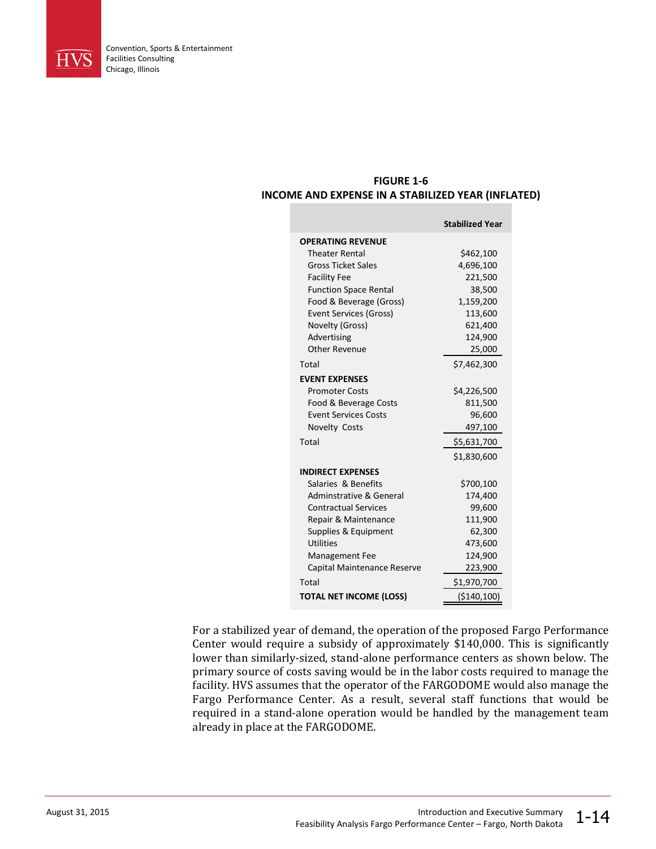

#### **FIGURE 1-6 INCOME AND EXPENSE IN A STABILIZED YEAR (INFLATED)**

|                                    | <b>Stabilized Year</b> |
|------------------------------------|------------------------|
| <b>OPERATING REVENUE</b>           |                        |
| <b>Theater Rental</b>              | \$462,100              |
| <b>Gross Ticket Sales</b>          | 4,696,100              |
| <b>Facility Fee</b>                | 221,500                |
| <b>Function Space Rental</b>       | 38,500                 |
| Food & Beverage (Gross)            | 1,159,200              |
| <b>Event Services (Gross)</b>      | 113,600                |
| Novelty (Gross)                    | 621,400                |
| Advertising                        | 124,900                |
| <b>Other Revenue</b>               | 25,000                 |
| Total                              | \$7,462,300            |
| <b>EVENT EXPENSES</b>              |                        |
| <b>Promoter Costs</b>              | \$4,226,500            |
| Food & Beverage Costs              | 811,500                |
| <b>Event Services Costs</b>        | 96,600                 |
| <b>Novelty Costs</b>               | 497,100                |
| Total                              | \$5,631,700            |
|                                    | \$1,830,600            |
| <b>INDIRECT EXPENSES</b>           |                        |
| Salaries & Benefits                | \$700,100              |
| <b>Adminstrative &amp; General</b> | 174,400                |
| <b>Contractual Services</b>        | 99,600                 |
| Repair & Maintenance               | 111,900                |
| Supplies & Equipment               | 62,300                 |
| Utilities                          | 473,600                |
| <b>Management Fee</b>              | 124,900                |
| Capital Maintenance Reserve        | 223,900                |
| Total                              | \$1,970,700            |
| <b>TOTAL NET INCOME (LOSS)</b>     | ( \$140, 100)          |

For a stabilized year of demand, the operation of the proposed Fargo Performance Center would require a subsidy of approximately \$140,000. This is significantly lower than similarly-sized, stand-alone performance centers as shown below. The primary source of costs saving would be in the labor costs required to manage the facility. HVS assumes that the operator of the FARGODOME would also manage the Fargo Performance Center. As a result, several staff functions that would be required in a stand-alone operation would be handled by the management team already in place at the FARGODOME.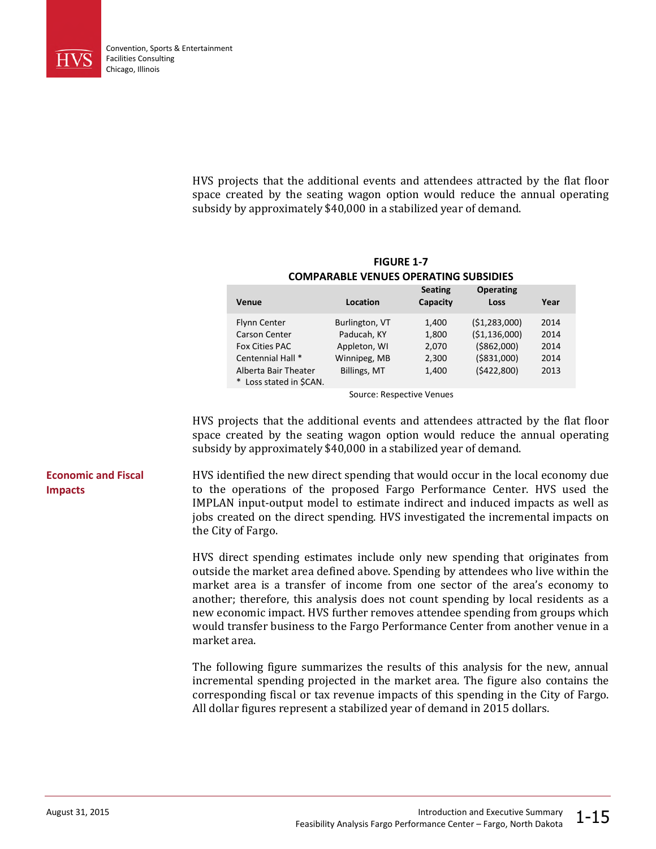

HVS projects that the additional events and attendees attracted by the flat floor space created by the seating wagon option would reduce the annual operating subsidy by approximately \$40,000 in a stabilized year of demand.

**COMPARABLE VENUES OPERATING SUBSIDIES Seating Operating Venue Location Capacity Loss Year** Flynn Center Burlington, VT 1,400 (\$1,283,000) 2014 Carson Center Paducah, KY 1,800 (\$1,136,000) 2014 Fox Cities PAC Appleton, WI 2,070 (\$862,000) 2014 Centennial Hall \* Winnipeg, MB 2,300 (\$831,000) 2014 Alberta Bair Theater Billings, MT 1,400 (\$422,800) 2013 \* Loss stated in \$CAN.

# **FIGURE 1-7**

Source: Respective Venues

HVS projects that the additional events and attendees attracted by the flat floor space created by the seating wagon option would reduce the annual operating subsidy by approximately \$40,000 in a stabilized year of demand.

HVS identified the new direct spending that would occur in the local economy due to the operations of the proposed Fargo Performance Center. HVS used the IMPLAN input-output model to estimate indirect and induced impacts as well as jobs created on the direct spending. HVS investigated the incremental impacts on the City of Fargo.

> HVS direct spending estimates include only new spending that originates from outside the market area defined above. Spending by attendees who live within the market area is a transfer of income from one sector of the area's economy to another; therefore, this analysis does not count spending by local residents as a new economic impact. HVS further removes attendee spending from groups which would transfer business to the Fargo Performance Center from another venue in a market area.

> The following figure summarizes the results of this analysis for the new, annual incremental spending projected in the market area. The figure also contains the corresponding fiscal or tax revenue impacts of this spending in the City of Fargo. All dollar figures represent a stabilized year of demand in 2015 dollars.

#### **Economic and Fiscal Impacts**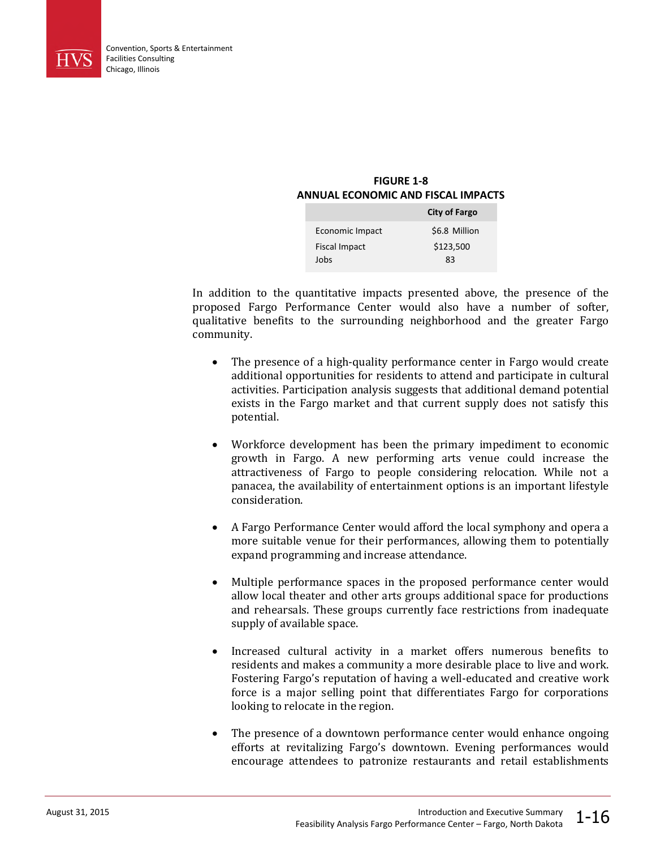

### **FIGURE 1-8 ANNUAL ECONOMIC AND FISCAL IMPACTS**

|                      | <b>City of Fargo</b> |
|----------------------|----------------------|
| Economic Impact      | \$6.8 Million        |
| <b>Fiscal Impact</b> | \$123,500            |
| Jobs                 | R٩                   |

In addition to the quantitative impacts presented above, the presence of the proposed Fargo Performance Center would also have a number of softer, qualitative benefits to the surrounding neighborhood and the greater Fargo community.

- The presence of a high-quality performance center in Fargo would create additional opportunities for residents to attend and participate in cultural activities. Participation analysis suggests that additional demand potential exists in the Fargo market and that current supply does not satisfy this potential.
- Workforce development has been the primary impediment to economic growth in Fargo. A new performing arts venue could increase the attractiveness of Fargo to people considering relocation. While not a panacea, the availability of entertainment options is an important lifestyle consideration.
- A Fargo Performance Center would afford the local symphony and opera a more suitable venue for their performances, allowing them to potentially expand programming and increase attendance.
- Multiple performance spaces in the proposed performance center would allow local theater and other arts groups additional space for productions and rehearsals. These groups currently face restrictions from inadequate supply of available space.
- Increased cultural activity in a market offers numerous benefits to residents and makes a community a more desirable place to live and work. Fostering Fargo's reputation of having a well-educated and creative work force is a major selling point that differentiates Fargo for corporations looking to relocate in the region.
- The presence of a downtown performance center would enhance ongoing efforts at revitalizing Fargo's downtown. Evening performances would encourage attendees to patronize restaurants and retail establishments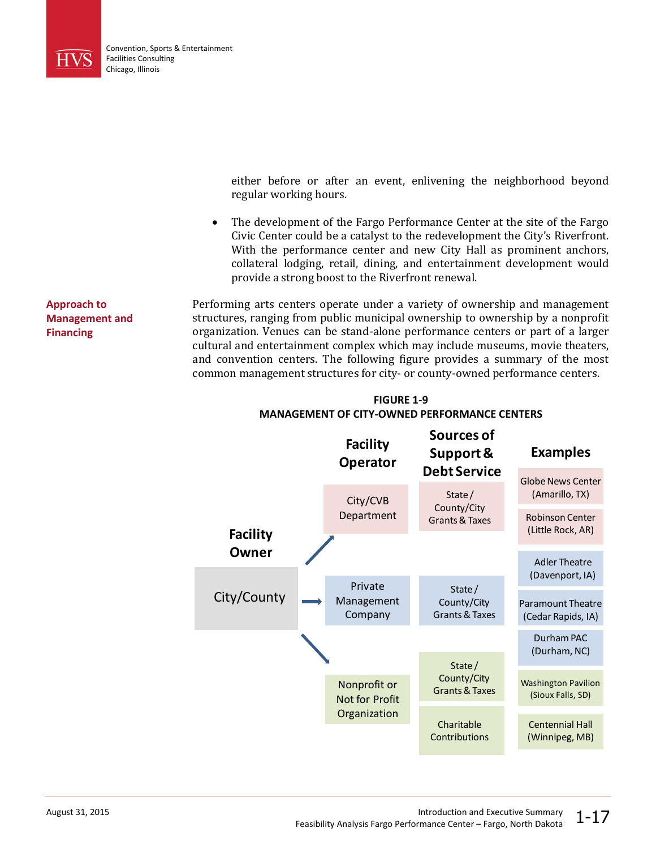

either before or after an event, enlivening the neighborhood beyond regular working hours.

• The development of the Fargo Performance Center at the site of the Fargo Civic Center could be a catalyst to the redevelopment the City's Riverfront. With the performance center and new City Hall as prominent anchors, collateral lodging, retail, dining, and entertainment development would provide a strong boost to the Riverfront renewal.

Performing arts centers operate under a variety of ownership and management structures, ranging from public municipal ownership to ownership by a nonprofit organization. Venues can be stand-alone performance centers or part of a larger cultural and entertainment complex which may include museums, movie theaters, and convention centers. The following figure provides a summary of the most common management structures for city- or county-owned performance centers.



**FIGURE 1-9 MANAGEMENT OF CITY-OWNED PERFORMANCE CENTERS**

**Approach to Management and Financing**